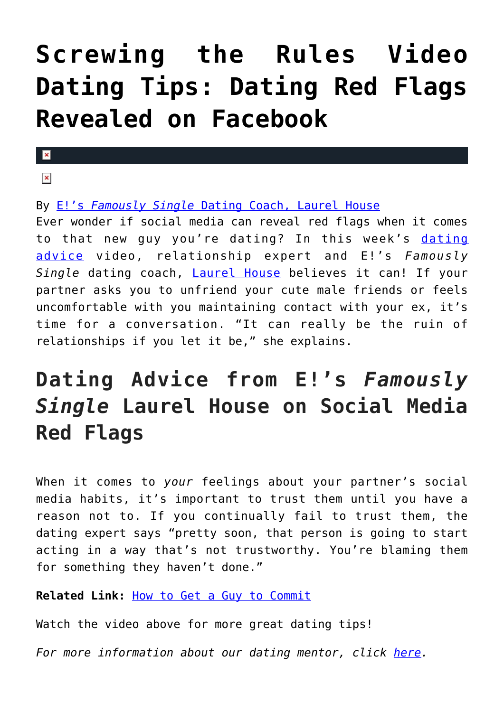## **[Screwing the Rules Video](https://cupidspulse.com/77256/screwing-the-rules-laurel-house-dating-red-flags-revealed-on-facebook/) [Dating Tips: Dating Red Flags](https://cupidspulse.com/77256/screwing-the-rules-laurel-house-dating-red-flags-revealed-on-facebook/) [Revealed on Facebook](https://cupidspulse.com/77256/screwing-the-rules-laurel-house-dating-red-flags-revealed-on-facebook/)**

 $\mathbf{x}$ 

 $\pmb{\times}$ 

By [E!'s](http://cupidspulse.com/relationship-dating-experts/laurel-house-no-games-love-dating-mentor/) *[Famously Single](http://cupidspulse.com/relationship-dating-experts/laurel-house-no-games-love-dating-mentor/)* [Dating Coach, Laurel House](http://cupidspulse.com/relationship-dating-experts/laurel-house-no-games-love-dating-mentor/)

Ever wonder if social media can reveal red flags when it comes to that new guy you're [dating](http://cupidspulse.com/relationship-experts/)? In this week's dating [advice](http://cupidspulse.com/relationship-experts/) video, relationship expert and E!'s *Famously Single* dating coach, [Laurel House](http://laurelhouse.com/) believes it can! If your partner asks you to unfriend your cute male friends or feels uncomfortable with you maintaining contact with your ex, it's time for a conversation. "It can really be the ruin of relationships if you let it be," she explains.

## **Dating Advice from E!'s** *Famously Single* **Laurel House on Social Media Red Flags**

When it comes to *your* feelings about your partner's social media habits, it's important to trust them until you have a reason not to. If you continually fail to trust them, the dating expert says "pretty soon, that person is going to start acting in a way that's not trustworthy. You're blaming them for something they haven't done."

**Related Link:** [How to Get a Guy to Commit](http://cupidspulse.com/nogameslove-laurel-house-get-a-guy-to-commit/)

Watch the video above for more great dating tips!

*For more information about our dating mentor, click [here.](http://cupidspulse.com/experts/dating-mentor/)*